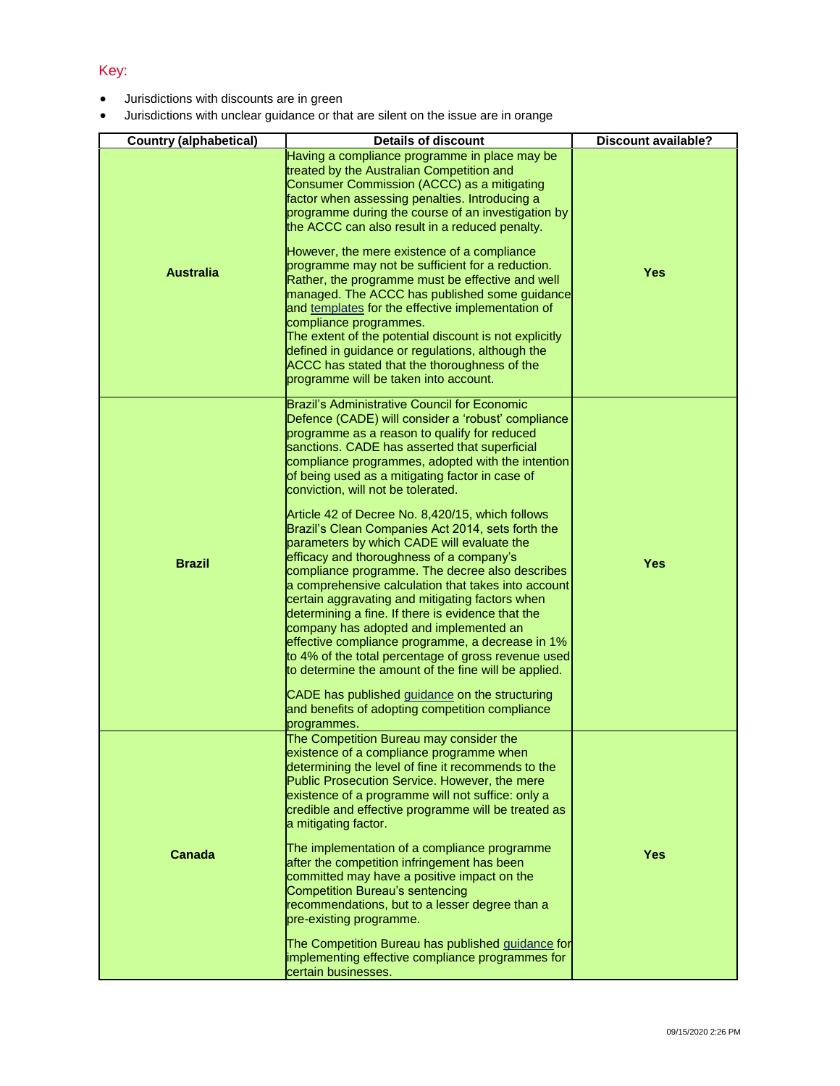## Key:

- Jurisdictions with discounts are in green
- Jurisdictions with unclear guidance or that are silent on the issue are in orange

| <b>Country (alphabetical)</b> | <b>Details of discount</b>                                                                                                                                                                                                                                                                                                                                                                                                                                                                                                                                                                                                                                                                                                                                                                                                                                                                                                                                                                                                                                                                              | <b>Discount available?</b> |
|-------------------------------|---------------------------------------------------------------------------------------------------------------------------------------------------------------------------------------------------------------------------------------------------------------------------------------------------------------------------------------------------------------------------------------------------------------------------------------------------------------------------------------------------------------------------------------------------------------------------------------------------------------------------------------------------------------------------------------------------------------------------------------------------------------------------------------------------------------------------------------------------------------------------------------------------------------------------------------------------------------------------------------------------------------------------------------------------------------------------------------------------------|----------------------------|
| <b>Australia</b>              | Having a compliance programme in place may be<br>treated by the Australian Competition and<br>Consumer Commission (ACCC) as a mitigating<br>factor when assessing penalties. Introducing a<br>programme during the course of an investigation by<br>the ACCC can also result in a reduced penalty.<br>However, the mere existence of a compliance<br>programme may not be sufficient for a reduction.<br>Rather, the programme must be effective and well<br>managed. The ACCC has published some guidance<br>and templates for the effective implementation of<br>compliance programmes.<br>The extent of the potential discount is not explicitly<br>defined in guidance or regulations, although the<br>ACCC has stated that the thoroughness of the<br>programme will be taken into account.                                                                                                                                                                                                                                                                                                        | <b>Yes</b>                 |
| <b>Brazil</b>                 | Brazil's Administrative Council for Economic<br>Defence (CADE) will consider a 'robust' compliance<br>programme as a reason to qualify for reduced<br>sanctions. CADE has asserted that superficial<br>compliance programmes, adopted with the intention<br>of being used as a mitigating factor in case of<br>conviction, will not be tolerated.<br>Article 42 of Decree No. 8,420/15, which follows<br>Brazil's Clean Companies Act 2014, sets forth the<br>parameters by which CADE will evaluate the<br>efficacy and thoroughness of a company's<br>compliance programme. The decree also describes<br>a comprehensive calculation that takes into account<br>certain aggravating and mitigating factors when<br>determining a fine. If there is evidence that the<br>company has adopted and implemented an<br>effective compliance programme, a decrease in 1%<br>to 4% of the total percentage of gross revenue used<br>to determine the amount of the fine will be applied.<br>CADE has published guidance on the structuring<br>and benefits of adopting competition compliance<br>programmes. | <b>Yes</b>                 |
| <b>Canada</b>                 | The Competition Bureau may consider the<br>existence of a compliance programme when<br>determining the level of fine it recommends to the<br>Public Prosecution Service. However, the mere<br>existence of a programme will not suffice: only a<br>credible and effective programme will be treated as<br>a mitigating factor.<br>The implementation of a compliance programme<br>after the competition infringement has been<br>committed may have a positive impact on the<br><b>Competition Bureau's sentencing</b><br>recommendations, but to a lesser degree than a<br>pre-existing programme.<br>The Competition Bureau has published guidance for<br>implementing effective compliance programmes for<br>certain businesses.                                                                                                                                                                                                                                                                                                                                                                     | <b>Yes</b>                 |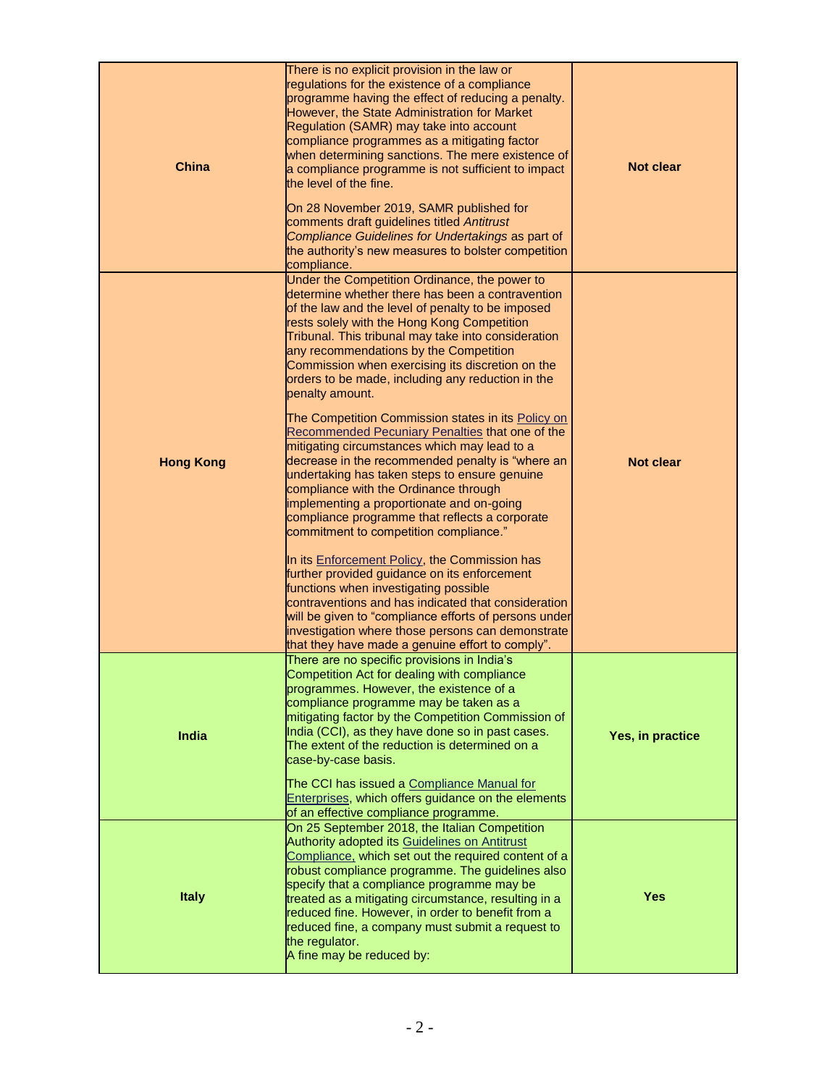| <b>China</b>     | There is no explicit provision in the law or<br>regulations for the existence of a compliance<br>programme having the effect of reducing a penalty.<br>However, the State Administration for Market<br>Regulation (SAMR) may take into account<br>compliance programmes as a mitigating factor<br>when determining sanctions. The mere existence of<br>a compliance programme is not sufficient to impact<br>the level of the fine.<br>On 28 November 2019, SAMR published for<br>comments draft guidelines titled Antitrust<br>Compliance Guidelines for Undertakings as part of<br>the authority's new measures to bolster competition<br>compliance.                                                                                                                                                                                                                                                                                                                                                                                                                                                                                                                                                                                               | <b>Not clear</b> |
|------------------|-------------------------------------------------------------------------------------------------------------------------------------------------------------------------------------------------------------------------------------------------------------------------------------------------------------------------------------------------------------------------------------------------------------------------------------------------------------------------------------------------------------------------------------------------------------------------------------------------------------------------------------------------------------------------------------------------------------------------------------------------------------------------------------------------------------------------------------------------------------------------------------------------------------------------------------------------------------------------------------------------------------------------------------------------------------------------------------------------------------------------------------------------------------------------------------------------------------------------------------------------------|------------------|
| <b>Hong Kong</b> | Under the Competition Ordinance, the power to<br>determine whether there has been a contravention<br>of the law and the level of penalty to be imposed<br>rests solely with the Hong Kong Competition<br>Tribunal. This tribunal may take into consideration<br>any recommendations by the Competition<br>Commission when exercising its discretion on the<br>orders to be made, including any reduction in the<br>penalty amount.<br>The Competition Commission states in its Policy on<br>Recommended Pecuniary Penalties that one of the<br>mitigating circumstances which may lead to a<br>decrease in the recommended penalty is "where an<br>undertaking has taken steps to ensure genuine<br>compliance with the Ordinance through<br>implementing a proportionate and on-going<br>compliance programme that reflects a corporate<br>commitment to competition compliance."<br>In its Enforcement Policy, the Commission has<br>further provided guidance on its enforcement<br>functions when investigating possible<br>contraventions and has indicated that consideration<br>will be given to "compliance efforts of persons under<br>investigation where those persons can demonstrate<br>that they have made a genuine effort to comply". | <b>Not clear</b> |
| India            | There are no specific provisions in India's<br>Competition Act for dealing with compliance<br>programmes. However, the existence of a<br>compliance programme may be taken as a<br>mitigating factor by the Competition Commission of<br>India (CCI), as they have done so in past cases.<br>The extent of the reduction is determined on a<br>case-by-case basis.<br>The CCI has issued a Compliance Manual for<br>Enterprises, which offers guidance on the elements<br>of an effective compliance programme.                                                                                                                                                                                                                                                                                                                                                                                                                                                                                                                                                                                                                                                                                                                                       | Yes, in practice |
| <b>Italy</b>     | On 25 September 2018, the Italian Competition<br><b>Authority adopted its Guidelines on Antitrust</b><br>Compliance, which set out the required content of a<br>robust compliance programme. The guidelines also<br>specify that a compliance programme may be<br>treated as a mitigating circumstance, resulting in a<br>reduced fine. However, in order to benefit from a<br>reduced fine, a company must submit a request to<br>the regulator.<br>A fine may be reduced by:                                                                                                                                                                                                                                                                                                                                                                                                                                                                                                                                                                                                                                                                                                                                                                        | <b>Yes</b>       |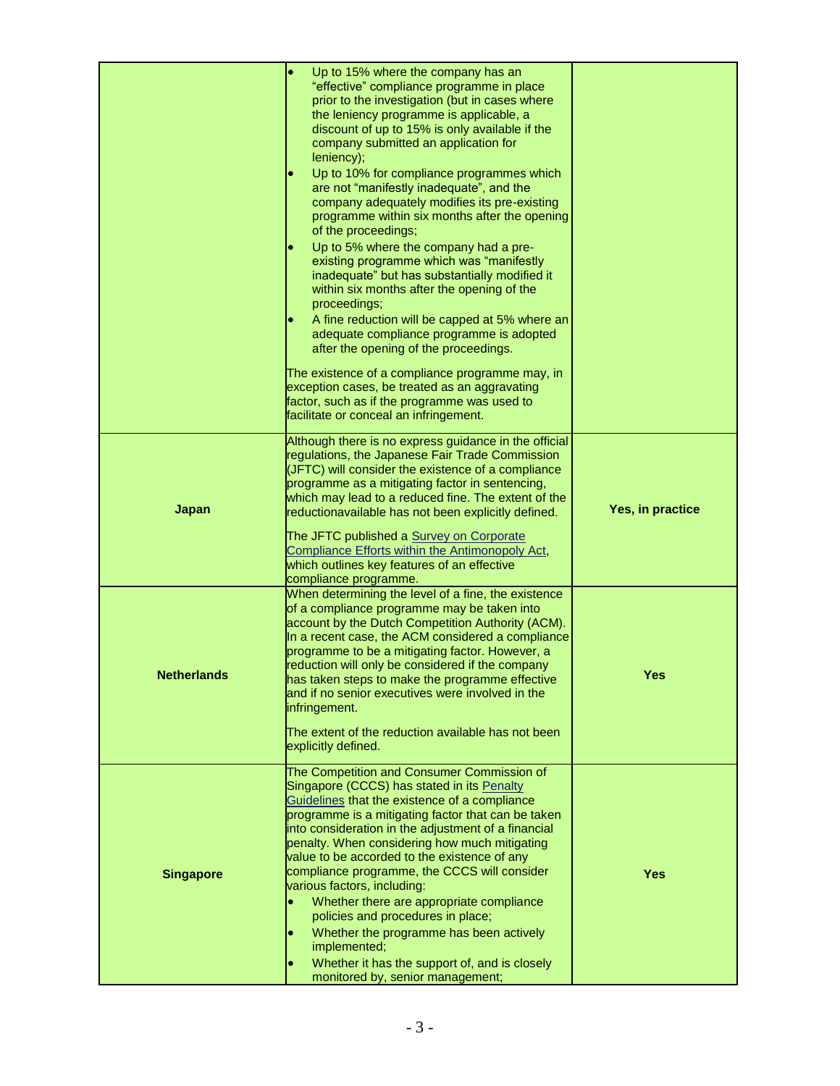|                    | Up to 15% where the company has an<br>$\bullet$<br>"effective" compliance programme in place<br>prior to the investigation (but in cases where<br>the leniency programme is applicable, a<br>discount of up to 15% is only available if the<br>company submitted an application for<br>leniency);<br>Up to 10% for compliance programmes which<br>$\bullet$<br>are not "manifestly inadequate", and the<br>company adequately modifies its pre-existing<br>programme within six months after the opening<br>of the proceedings;<br>Up to 5% where the company had a pre-<br>$\bullet$<br>existing programme which was "manifestly<br>inadequate" but has substantially modified it<br>within six months after the opening of the<br>proceedings;<br>A fine reduction will be capped at 5% where an<br>$\bullet$<br>adequate compliance programme is adopted<br>after the opening of the proceedings.<br>The existence of a compliance programme may, in<br>exception cases, be treated as an aggravating |                  |
|--------------------|----------------------------------------------------------------------------------------------------------------------------------------------------------------------------------------------------------------------------------------------------------------------------------------------------------------------------------------------------------------------------------------------------------------------------------------------------------------------------------------------------------------------------------------------------------------------------------------------------------------------------------------------------------------------------------------------------------------------------------------------------------------------------------------------------------------------------------------------------------------------------------------------------------------------------------------------------------------------------------------------------------|------------------|
|                    | factor, such as if the programme was used to<br>facilitate or conceal an infringement.                                                                                                                                                                                                                                                                                                                                                                                                                                                                                                                                                                                                                                                                                                                                                                                                                                                                                                                   |                  |
| <b>Japan</b>       | Although there is no express guidance in the official<br>regulations, the Japanese Fair Trade Commission<br>(JFTC) will consider the existence of a compliance<br>programme as a mitigating factor in sentencing,<br>which may lead to a reduced fine. The extent of the<br>reductionavailable has not been explicitly defined.<br>The JFTC published a Survey on Corporate<br>Compliance Efforts within the Antimonopoly Act,<br>which outlines key features of an effective<br>compliance programme.                                                                                                                                                                                                                                                                                                                                                                                                                                                                                                   | Yes, in practice |
| <b>Netherlands</b> | When determining the level of a fine, the existence<br>of a compliance programme may be taken into<br>account by the Dutch Competition Authority (ACM).<br>In a recent case, the ACM considered a compliance<br>programme to be a mitigating factor. However, a<br>reduction will only be considered if the company<br>has taken steps to make the programme effective<br>and if no senior executives were involved in the<br>infringement.<br>The extent of the reduction available has not been<br>explicitly defined.                                                                                                                                                                                                                                                                                                                                                                                                                                                                                 | Yes              |
| <b>Singapore</b>   | The Competition and Consumer Commission of<br>Singapore (CCCS) has stated in its Penalty<br>Guidelines that the existence of a compliance<br>programme is a mitigating factor that can be taken<br>into consideration in the adjustment of a financial<br>penalty. When considering how much mitigating<br>value to be accorded to the existence of any<br>compliance programme, the CCCS will consider<br>various factors, including:<br>Whether there are appropriate compliance<br>policies and procedures in place;<br>Whether the programme has been actively<br>implemented;<br>Whether it has the support of, and is closely<br>$\bullet$<br>monitored by, senior management;                                                                                                                                                                                                                                                                                                                     | <b>Yes</b>       |